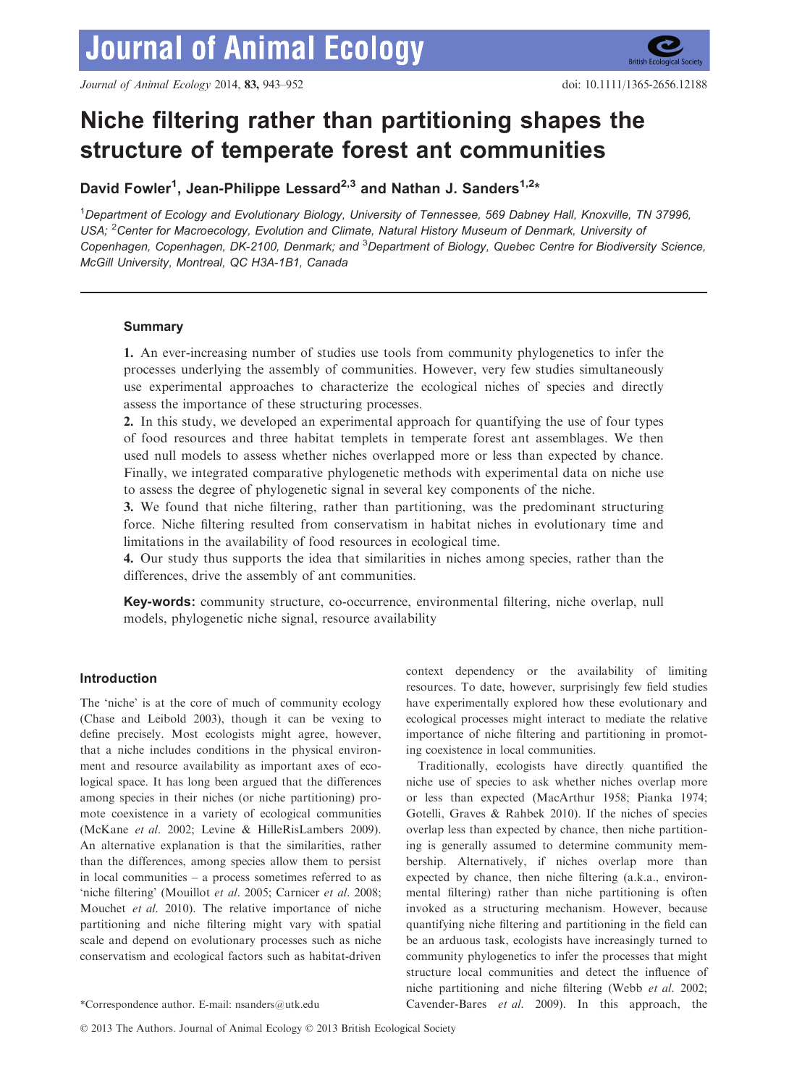

# Niche filtering rather than partitioning shapes the structure of temperate forest ant communities

## David Fowler<sup>1</sup>, Jean-Philippe Lessard<sup>2,3</sup> and Nathan J. Sanders<sup>1,2</sup>\*

<sup>1</sup>Department of Ecology and Evolutionary Biology, University of Tennessee, 569 Dabney Hall, Knoxville, TN 37996, USA; <sup>2</sup> Center for Macroecology, Evolution and Climate, Natural History Museum of Denmark, University of Copenhagen, Copenhagen, DK-2100, Denmark; and <sup>3</sup>Department of Biology, Quebec Centre for Biodiversity Science, McGill University, Montreal, QC H3A-1B1, Canada

## Summary

1. An ever-increasing number of studies use tools from community phylogenetics to infer the processes underlying the assembly of communities. However, very few studies simultaneously use experimental approaches to characterize the ecological niches of species and directly assess the importance of these structuring processes.

2. In this study, we developed an experimental approach for quantifying the use of four types of food resources and three habitat templets in temperate forest ant assemblages. We then used null models to assess whether niches overlapped more or less than expected by chance. Finally, we integrated comparative phylogenetic methods with experimental data on niche use to assess the degree of phylogenetic signal in several key components of the niche.

3. We found that niche filtering, rather than partitioning, was the predominant structuring force. Niche filtering resulted from conservatism in habitat niches in evolutionary time and limitations in the availability of food resources in ecological time.

4. Our study thus supports the idea that similarities in niches among species, rather than the differences, drive the assembly of ant communities.

Key-words: community structure, co-occurrence, environmental filtering, niche overlap, null models, phylogenetic niche signal, resource availability

## Introduction

The 'niche' is at the core of much of community ecology (Chase and Leibold 2003), though it can be vexing to define precisely. Most ecologists might agree, however, that a niche includes conditions in the physical environment and resource availability as important axes of ecological space. It has long been argued that the differences among species in their niches (or niche partitioning) promote coexistence in a variety of ecological communities (McKane et al. 2002; Levine & HilleRisLambers 2009). An alternative explanation is that the similarities, rather than the differences, among species allow them to persist in local communities – a process sometimes referred to as 'niche filtering' (Mouillot et al. 2005; Carnicer et al. 2008; Mouchet et al. 2010). The relative importance of niche partitioning and niche filtering might vary with spatial scale and depend on evolutionary processes such as niche conservatism and ecological factors such as habitat-driven

context dependency or the availability of limiting resources. To date, however, surprisingly few field studies have experimentally explored how these evolutionary and ecological processes might interact to mediate the relative importance of niche filtering and partitioning in promoting coexistence in local communities.

Traditionally, ecologists have directly quantified the niche use of species to ask whether niches overlap more or less than expected (MacArthur 1958; Pianka 1974; Gotelli, Graves & Rahbek 2010). If the niches of species overlap less than expected by chance, then niche partitioning is generally assumed to determine community membership. Alternatively, if niches overlap more than expected by chance, then niche filtering (a.k.a., environmental filtering) rather than niche partitioning is often invoked as a structuring mechanism. However, because quantifying niche filtering and partitioning in the field can be an arduous task, ecologists have increasingly turned to community phylogenetics to infer the processes that might structure local communities and detect the influence of niche partitioning and niche filtering (Webb et al. 2002; \*Correspondence author. E-mail: nsanders@utk.edu Cavender-Bares et al. 2009). In this approach, the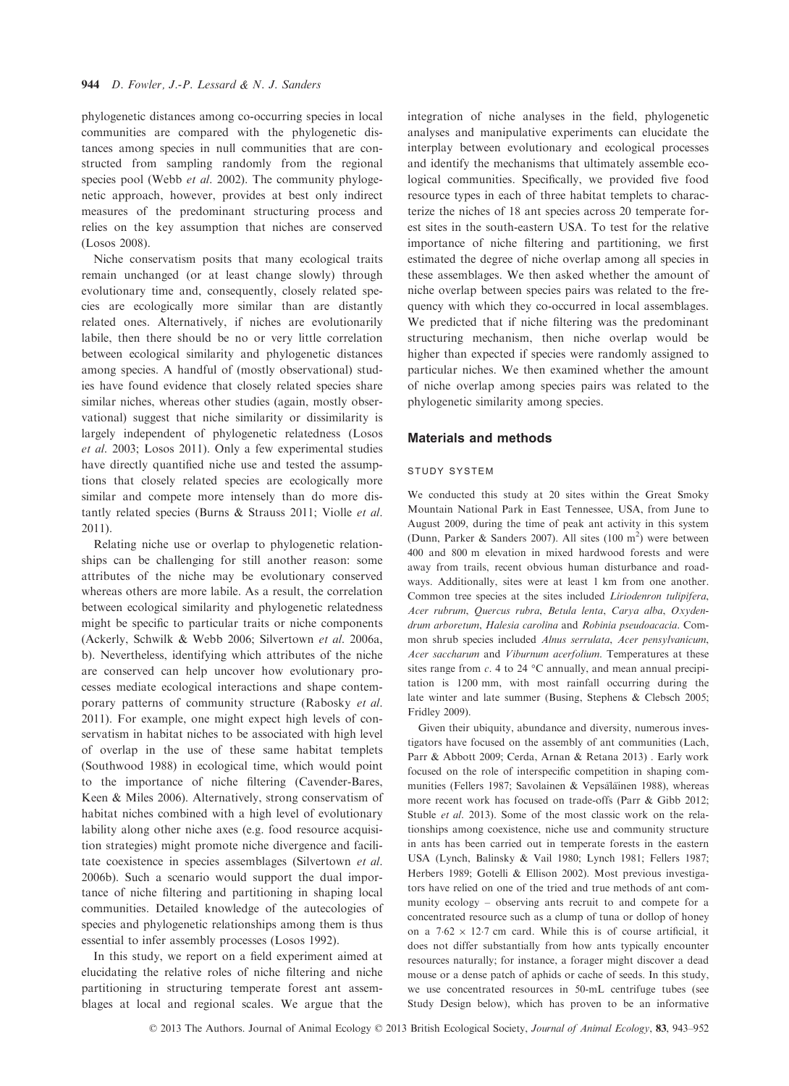phylogenetic distances among co-occurring species in local communities are compared with the phylogenetic distances among species in null communities that are constructed from sampling randomly from the regional species pool (Webb et al. 2002). The community phylogenetic approach, however, provides at best only indirect measures of the predominant structuring process and relies on the key assumption that niches are conserved (Losos 2008).

Niche conservatism posits that many ecological traits remain unchanged (or at least change slowly) through evolutionary time and, consequently, closely related species are ecologically more similar than are distantly related ones. Alternatively, if niches are evolutionarily labile, then there should be no or very little correlation between ecological similarity and phylogenetic distances among species. A handful of (mostly observational) studies have found evidence that closely related species share similar niches, whereas other studies (again, mostly observational) suggest that niche similarity or dissimilarity is largely independent of phylogenetic relatedness (Losos et al. 2003; Losos 2011). Only a few experimental studies have directly quantified niche use and tested the assumptions that closely related species are ecologically more similar and compete more intensely than do more distantly related species (Burns & Strauss 2011; Violle et al. 2011).

Relating niche use or overlap to phylogenetic relationships can be challenging for still another reason: some attributes of the niche may be evolutionary conserved whereas others are more labile. As a result, the correlation between ecological similarity and phylogenetic relatedness might be specific to particular traits or niche components (Ackerly, Schwilk & Webb 2006; Silvertown et al. 2006a, b). Nevertheless, identifying which attributes of the niche are conserved can help uncover how evolutionary processes mediate ecological interactions and shape contemporary patterns of community structure (Rabosky et al. 2011). For example, one might expect high levels of conservatism in habitat niches to be associated with high level of overlap in the use of these same habitat templets (Southwood 1988) in ecological time, which would point to the importance of niche filtering (Cavender-Bares, Keen & Miles 2006). Alternatively, strong conservatism of habitat niches combined with a high level of evolutionary lability along other niche axes (e.g. food resource acquisition strategies) might promote niche divergence and facilitate coexistence in species assemblages (Silvertown et al. 2006b). Such a scenario would support the dual importance of niche filtering and partitioning in shaping local communities. Detailed knowledge of the autecologies of species and phylogenetic relationships among them is thus essential to infer assembly processes (Losos 1992).

In this study, we report on a field experiment aimed at elucidating the relative roles of niche filtering and niche partitioning in structuring temperate forest ant assemblages at local and regional scales. We argue that the integration of niche analyses in the field, phylogenetic analyses and manipulative experiments can elucidate the interplay between evolutionary and ecological processes and identify the mechanisms that ultimately assemble ecological communities. Specifically, we provided five food resource types in each of three habitat templets to characterize the niches of 18 ant species across 20 temperate forest sites in the south-eastern USA. To test for the relative importance of niche filtering and partitioning, we first estimated the degree of niche overlap among all species in these assemblages. We then asked whether the amount of niche overlap between species pairs was related to the frequency with which they co-occurred in local assemblages. We predicted that if niche filtering was the predominant structuring mechanism, then niche overlap would be higher than expected if species were randomly assigned to particular niches. We then examined whether the amount of niche overlap among species pairs was related to the phylogenetic similarity among species.

#### Materials and methods

#### study system

We conducted this study at 20 sites within the Great Smoky Mountain National Park in East Tennessee, USA, from June to August 2009, during the time of peak ant activity in this system (Dunn, Parker & Sanders 2007). All sites  $(100 \text{ m}^2)$  were between 400 and 800 m elevation in mixed hardwood forests and were away from trails, recent obvious human disturbance and roadways. Additionally, sites were at least 1 km from one another. Common tree species at the sites included Liriodenron tulipifera, Acer rubrum, Quercus rubra, Betula lenta, Carya alba, Oxydendrum arboretum, Halesia carolina and Robinia pseudoacacia. Common shrub species included Alnus serrulata, Acer pensylvanicum, Acer saccharum and Viburnum acerfolium. Temperatures at these sites range from c. 4 to 24 °C annually, and mean annual precipitation is 1200 mm, with most rainfall occurring during the late winter and late summer (Busing, Stephens & Clebsch 2005; Fridley 2009).

Given their ubiquity, abundance and diversity, numerous investigators have focused on the assembly of ant communities (Lach, Parr & Abbott 2009; Cerda, Arnan & Retana 2013) . Early work focused on the role of interspecific competition in shaping communities (Fellers 1987; Savolainen & Vepsäläinen 1988), whereas more recent work has focused on trade-offs (Parr & Gibb 2012; Stuble et al. 2013). Some of the most classic work on the relationships among coexistence, niche use and community structure in ants has been carried out in temperate forests in the eastern USA (Lynch, Balinsky & Vail 1980; Lynch 1981; Fellers 1987; Herbers 1989; Gotelli & Ellison 2002). Most previous investigators have relied on one of the tried and true methods of ant community ecology – observing ants recruit to and compete for a concentrated resource such as a clump of tuna or dollop of honey on a  $7.62 \times 12.7$  cm card. While this is of course artificial, it does not differ substantially from how ants typically encounter resources naturally; for instance, a forager might discover a dead mouse or a dense patch of aphids or cache of seeds. In this study, we use concentrated resources in 50-mL centrifuge tubes (see Study Design below), which has proven to be an informative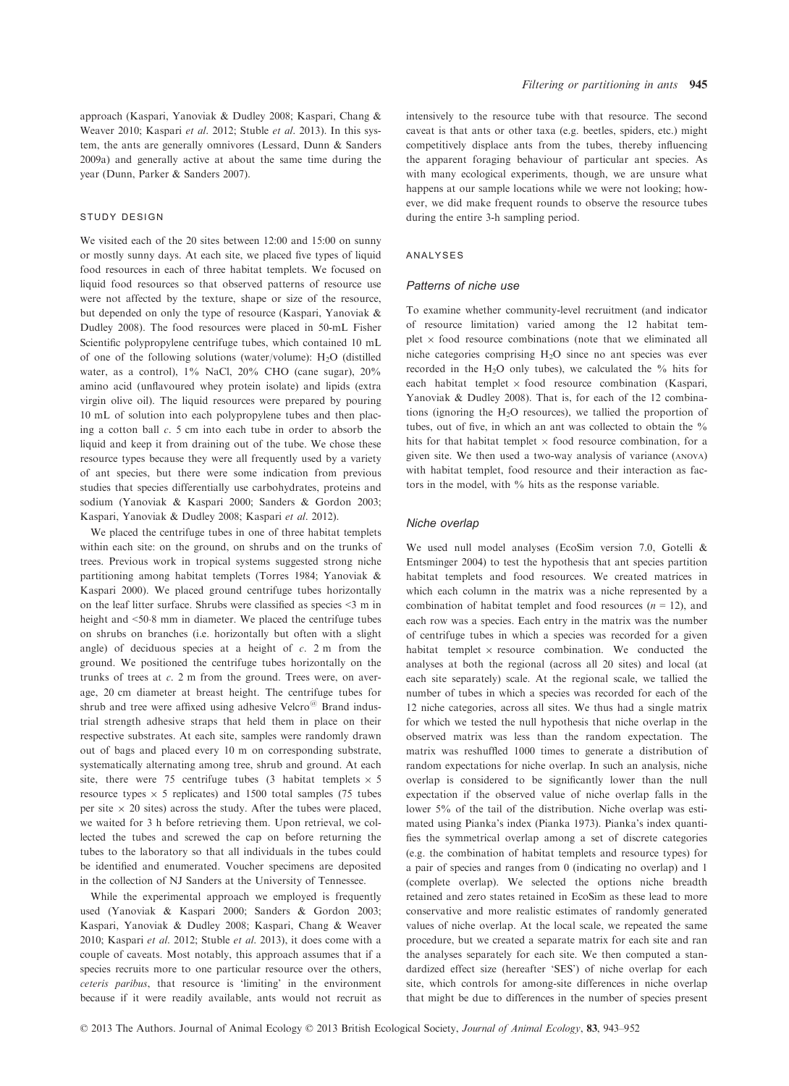approach (Kaspari, Yanoviak & Dudley 2008; Kaspari, Chang & Weaver 2010; Kaspari et al. 2012; Stuble et al. 2013). In this system, the ants are generally omnivores (Lessard, Dunn & Sanders 2009a) and generally active at about the same time during the year (Dunn, Parker & Sanders 2007).

#### study design

We visited each of the 20 sites between 12:00 and 15:00 on sunny or mostly sunny days. At each site, we placed five types of liquid food resources in each of three habitat templets. We focused on liquid food resources so that observed patterns of resource use were not affected by the texture, shape or size of the resource, but depended on only the type of resource (Kaspari, Yanoviak & Dudley 2008). The food resources were placed in 50-mL Fisher Scientific polypropylene centrifuge tubes, which contained 10 mL of one of the following solutions (water/volume):  $H<sub>2</sub>O$  (distilled water, as a control), 1% NaCl, 20% CHO (cane sugar), 20% amino acid (unflavoured whey protein isolate) and lipids (extra virgin olive oil). The liquid resources were prepared by pouring 10 mL of solution into each polypropylene tubes and then placing a cotton ball c. 5 cm into each tube in order to absorb the liquid and keep it from draining out of the tube. We chose these resource types because they were all frequently used by a variety of ant species, but there were some indication from previous studies that species differentially use carbohydrates, proteins and sodium (Yanoviak & Kaspari 2000; Sanders & Gordon 2003; Kaspari, Yanoviak & Dudley 2008; Kaspari et al. 2012).

We placed the centrifuge tubes in one of three habitat templets within each site: on the ground, on shrubs and on the trunks of trees. Previous work in tropical systems suggested strong niche partitioning among habitat templets (Torres 1984; Yanoviak & Kaspari 2000). We placed ground centrifuge tubes horizontally on the leaf litter surface. Shrubs were classified as species <3 m in height and  $\leq 50.8$  mm in diameter. We placed the centrifuge tubes on shrubs on branches (i.e. horizontally but often with a slight angle) of deciduous species at a height of  $c$ . 2 m from the ground. We positioned the centrifuge tubes horizontally on the trunks of trees at  $c$ . 2 m from the ground. Trees were, on average, 20 cm diameter at breast height. The centrifuge tubes for shrub and tree were affixed using adhesive Velcro<sup>@</sup> Brand industrial strength adhesive straps that held them in place on their respective substrates. At each site, samples were randomly drawn out of bags and placed every 10 m on corresponding substrate, systematically alternating among tree, shrub and ground. At each site, there were 75 centrifuge tubes (3 habitat templets  $\times$  5 resource types  $\times$  5 replicates) and 1500 total samples (75 tubes per site  $\times$  20 sites) across the study. After the tubes were placed, we waited for 3 h before retrieving them. Upon retrieval, we collected the tubes and screwed the cap on before returning the tubes to the laboratory so that all individuals in the tubes could be identified and enumerated. Voucher specimens are deposited in the collection of NJ Sanders at the University of Tennessee.

While the experimental approach we employed is frequently used (Yanoviak & Kaspari 2000; Sanders & Gordon 2003; Kaspari, Yanoviak & Dudley 2008; Kaspari, Chang & Weaver 2010; Kaspari et al. 2012; Stuble et al. 2013), it does come with a couple of caveats. Most notably, this approach assumes that if a species recruits more to one particular resource over the others, ceteris paribus, that resource is 'limiting' in the environment because if it were readily available, ants would not recruit as

intensively to the resource tube with that resource. The second caveat is that ants or other taxa (e.g. beetles, spiders, etc.) might competitively displace ants from the tubes, thereby influencing the apparent foraging behaviour of particular ant species. As with many ecological experiments, though, we are unsure what happens at our sample locations while we were not looking; however, we did make frequent rounds to observe the resource tubes during the entire 3-h sampling period.

#### analyses

#### Patterns of niche use

To examine whether community-level recruitment (and indicator of resource limitation) varied among the 12 habitat templet  $\times$  food resource combinations (note that we eliminated all niche categories comprising H2O since no ant species was ever recorded in the H2O only tubes), we calculated the % hits for each habitat templet  $\times$  food resource combination (Kaspari, Yanoviak & Dudley 2008). That is, for each of the 12 combinations (ignoring the  $H_2O$  resources), we tallied the proportion of tubes, out of five, in which an ant was collected to obtain the % hits for that habitat templet  $\times$  food resource combination, for a given site. We then used a two-way analysis of variance (ANOVA) with habitat templet, food resource and their interaction as factors in the model, with % hits as the response variable.

#### Niche overlap

We used null model analyses (EcoSim version 7.0, Gotelli & Entsminger 2004) to test the hypothesis that ant species partition habitat templets and food resources. We created matrices in which each column in the matrix was a niche represented by a combination of habitat templet and food resources  $(n = 12)$ , and each row was a species. Each entry in the matrix was the number of centrifuge tubes in which a species was recorded for a given habitat templet  $\times$  resource combination. We conducted the analyses at both the regional (across all 20 sites) and local (at each site separately) scale. At the regional scale, we tallied the number of tubes in which a species was recorded for each of the 12 niche categories, across all sites. We thus had a single matrix for which we tested the null hypothesis that niche overlap in the observed matrix was less than the random expectation. The matrix was reshuffled 1000 times to generate a distribution of random expectations for niche overlap. In such an analysis, niche overlap is considered to be significantly lower than the null expectation if the observed value of niche overlap falls in the lower 5% of the tail of the distribution. Niche overlap was estimated using Pianka's index (Pianka 1973). Pianka's index quantifies the symmetrical overlap among a set of discrete categories (e.g. the combination of habitat templets and resource types) for a pair of species and ranges from 0 (indicating no overlap) and 1 (complete overlap). We selected the options niche breadth retained and zero states retained in EcoSim as these lead to more conservative and more realistic estimates of randomly generated values of niche overlap. At the local scale, we repeated the same procedure, but we created a separate matrix for each site and ran the analyses separately for each site. We then computed a standardized effect size (hereafter 'SES') of niche overlap for each site, which controls for among-site differences in niche overlap that might be due to differences in the number of species present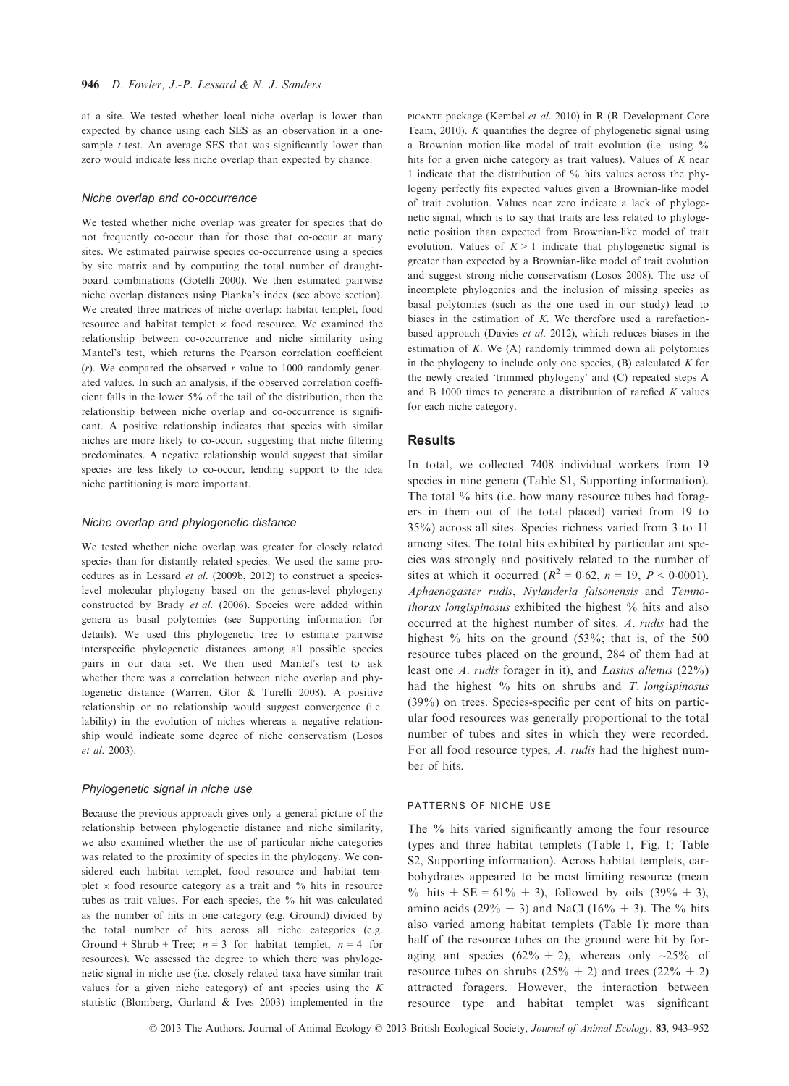at a site. We tested whether local niche overlap is lower than expected by chance using each SES as an observation in a onesample *t*-test. An average SES that was significantly lower than zero would indicate less niche overlap than expected by chance.

#### Niche overlap and co-occurrence

We tested whether niche overlap was greater for species that do not frequently co-occur than for those that co-occur at many sites. We estimated pairwise species co-occurrence using a species by site matrix and by computing the total number of draughtboard combinations (Gotelli 2000). We then estimated pairwise niche overlap distances using Pianka's index (see above section). We created three matrices of niche overlap: habitat templet, food resource and habitat templet  $\times$  food resource. We examined the relationship between co-occurrence and niche similarity using Mantel's test, which returns the Pearson correlation coefficient  $(r)$ . We compared the observed r value to 1000 randomly generated values. In such an analysis, if the observed correlation coefficient falls in the lower 5% of the tail of the distribution, then the relationship between niche overlap and co-occurrence is significant. A positive relationship indicates that species with similar niches are more likely to co-occur, suggesting that niche filtering predominates. A negative relationship would suggest that similar species are less likely to co-occur, lending support to the idea niche partitioning is more important.

#### Niche overlap and phylogenetic distance

We tested whether niche overlap was greater for closely related species than for distantly related species. We used the same procedures as in Lessard et al. (2009b, 2012) to construct a specieslevel molecular phylogeny based on the genus-level phylogeny constructed by Brady et al. (2006). Species were added within genera as basal polytomies (see Supporting information for details). We used this phylogenetic tree to estimate pairwise interspecific phylogenetic distances among all possible species pairs in our data set. We then used Mantel's test to ask whether there was a correlation between niche overlap and phylogenetic distance (Warren, Glor & Turelli 2008). A positive relationship or no relationship would suggest convergence (i.e. lability) in the evolution of niches whereas a negative relationship would indicate some degree of niche conservatism (Losos et al. 2003).

#### Phylogenetic signal in niche use

Because the previous approach gives only a general picture of the relationship between phylogenetic distance and niche similarity, we also examined whether the use of particular niche categories was related to the proximity of species in the phylogeny. We considered each habitat templet, food resource and habitat templet  $\times$  food resource category as a trait and % hits in resource tubes as trait values. For each species, the % hit was calculated as the number of hits in one category (e.g. Ground) divided by the total number of hits across all niche categories (e.g. Ground + Shrub + Tree;  $n = 3$  for habitat templet,  $n = 4$  for resources). We assessed the degree to which there was phylogenetic signal in niche use (i.e. closely related taxa have similar trait values for a given niche category) of ant species using the  $K$ statistic (Blomberg, Garland & Ives 2003) implemented in the

PICANTE package (Kembel et al. 2010) in R (R Development Core Team, 2010). K quantifies the degree of phylogenetic signal using a Brownian motion-like model of trait evolution (i.e. using % hits for a given niche category as trait values). Values of K near 1 indicate that the distribution of % hits values across the phylogeny perfectly fits expected values given a Brownian-like model of trait evolution. Values near zero indicate a lack of phylogenetic signal, which is to say that traits are less related to phylogenetic position than expected from Brownian-like model of trait evolution. Values of  $K > 1$  indicate that phylogenetic signal is greater than expected by a Brownian-like model of trait evolution and suggest strong niche conservatism (Losos 2008). The use of incomplete phylogenies and the inclusion of missing species as basal polytomies (such as the one used in our study) lead to biases in the estimation of K. We therefore used a rarefactionbased approach (Davies et al. 2012), which reduces biases in the estimation of K. We (A) randomly trimmed down all polytomies in the phylogeny to include only one species,  $(B)$  calculated  $K$  for the newly created 'trimmed phylogeny' and (C) repeated steps A and B 1000 times to generate a distribution of rarefied  $K$  values for each niche category.

#### Results

In total, we collected 7408 individual workers from 19 species in nine genera (Table S1, Supporting information). The total % hits (i.e. how many resource tubes had foragers in them out of the total placed) varied from 19 to 35%) across all sites. Species richness varied from 3 to 11 among sites. The total hits exhibited by particular ant species was strongly and positively related to the number of sites at which it occurred ( $R^2 = 0.62$ ,  $n = 19$ ,  $P < 0.0001$ ). Aphaenogaster rudis, Nylanderia faisonensis and Temnothorax longispinosus exhibited the highest % hits and also occurred at the highest number of sites. A. rudis had the highest % hits on the ground (53%; that is, of the 500 resource tubes placed on the ground, 284 of them had at least one A. rudis forager in it), and Lasius alienus (22%) had the highest  $\%$  hits on shrubs and T. longispinosus (39%) on trees. Species-specific per cent of hits on particular food resources was generally proportional to the total number of tubes and sites in which they were recorded. For all food resource types, A. rudis had the highest number of hits.

#### patterns of niche use

The % hits varied significantly among the four resource types and three habitat templets (Table 1, Fig. 1; Table S2, Supporting information). Across habitat templets, carbohydrates appeared to be most limiting resource (mean % hits  $\pm$  SE = 61%  $\pm$  3), followed by oils (39%  $\pm$  3), amino acids (29%  $\pm$  3) and NaCl (16%  $\pm$  3). The % hits also varied among habitat templets (Table 1): more than half of the resource tubes on the ground were hit by foraging ant species (62%  $\pm$  2), whereas only ~25% of resource tubes on shrubs (25%  $\pm$  2) and trees (22%  $\pm$  2) attracted foragers. However, the interaction between resource type and habitat templet was significant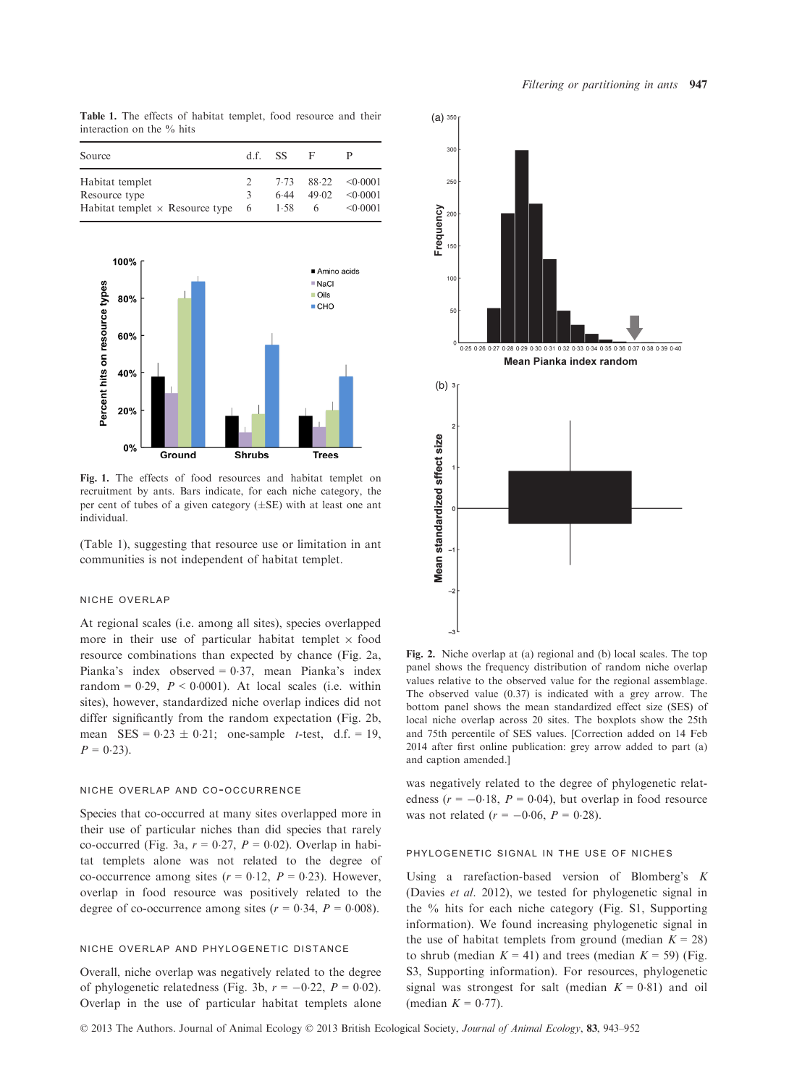Table 1. The effects of habitat templet, food resource and their interaction on the % hits

| Source                                 | df SS |      | F     |          |
|----------------------------------------|-------|------|-------|----------|
| Habitat templet                        |       | 7.73 | 88.22 | < 0.0001 |
| Resource type                          | 3     | 6.44 | 49.02 | < 0.0001 |
| Habitat templet $\times$ Resource type | 6     | 1.58 | 6     | < 0.0001 |



Fig. 1. The effects of food resources and habitat templet on recruitment by ants. Bars indicate, for each niche category, the per cent of tubes of a given category  $(\pm SE)$  with at least one ant individual.

(Table 1), suggesting that resource use or limitation in ant communities is not independent of habitat templet.

#### niche overlap

At regional scales (i.e. among all sites), species overlapped more in their use of particular habitat templet  $\times$  food resource combinations than expected by chance (Fig. 2a, Pianka's index observed =  $0.37$ , mean Pianka's index random =  $0.29$ ,  $P < 0.0001$ ). At local scales (i.e. within sites), however, standardized niche overlap indices did not differ significantly from the random expectation (Fig. 2b, mean SES =  $0.23 \pm 0.21$ ; one-sample *t*-test, d.f. = 19,  $P = 0.23$ ).

#### niche overlap and co-occurrence

Species that co-occurred at many sites overlapped more in their use of particular niches than did species that rarely co-occurred (Fig. 3a,  $r = 0.27$ ,  $P = 0.02$ ). Overlap in habitat templets alone was not related to the degree of co-occurrence among sites  $(r = 0.12, P = 0.23)$ . However, overlap in food resource was positively related to the degree of co-occurrence among sites ( $r = 0.34$ ,  $P = 0.008$ ).

#### niche overlap and phylogenetic distance

Overall, niche overlap was negatively related to the degree of phylogenetic relatedness (Fig. 3b,  $r = -0.22$ ,  $P = 0.02$ ). Overlap in the use of particular habitat templets alone



Fig. 2. Niche overlap at (a) regional and (b) local scales. The top panel shows the frequency distribution of random niche overlap values relative to the observed value for the regional assemblage. The observed value (0.37) is indicated with a grey arrow. The bottom panel shows the mean standardized effect size (SES) of local niche overlap across 20 sites. The boxplots show the 25th and 75th percentile of SES values. [Correction added on 14 Feb 2014 after first online publication: grey arrow added to part (a) and caption amended.]

was negatively related to the degree of phylogenetic relatedness ( $r = -0.18$ ,  $P = 0.04$ ), but overlap in food resource was not related  $(r = -0.06, P = 0.28)$ .

#### phylogenetic signal in the use of niches

Using a rarefaction-based version of Blomberg's K (Davies et al. 2012), we tested for phylogenetic signal in the % hits for each niche category (Fig. S1, Supporting information). We found increasing phylogenetic signal in the use of habitat templets from ground (median  $K = 28$ ) to shrub (median  $K = 41$ ) and trees (median  $K = 59$ ) (Fig. S3, Supporting information). For resources, phylogenetic signal was strongest for salt (median  $K = 0.81$ ) and oil (median  $K = 0.77$ ).

© 2013 The Authors. Journal of Animal Ecology © 2013 British Ecological Society, Journal of Animal Ecology, 83, 943–952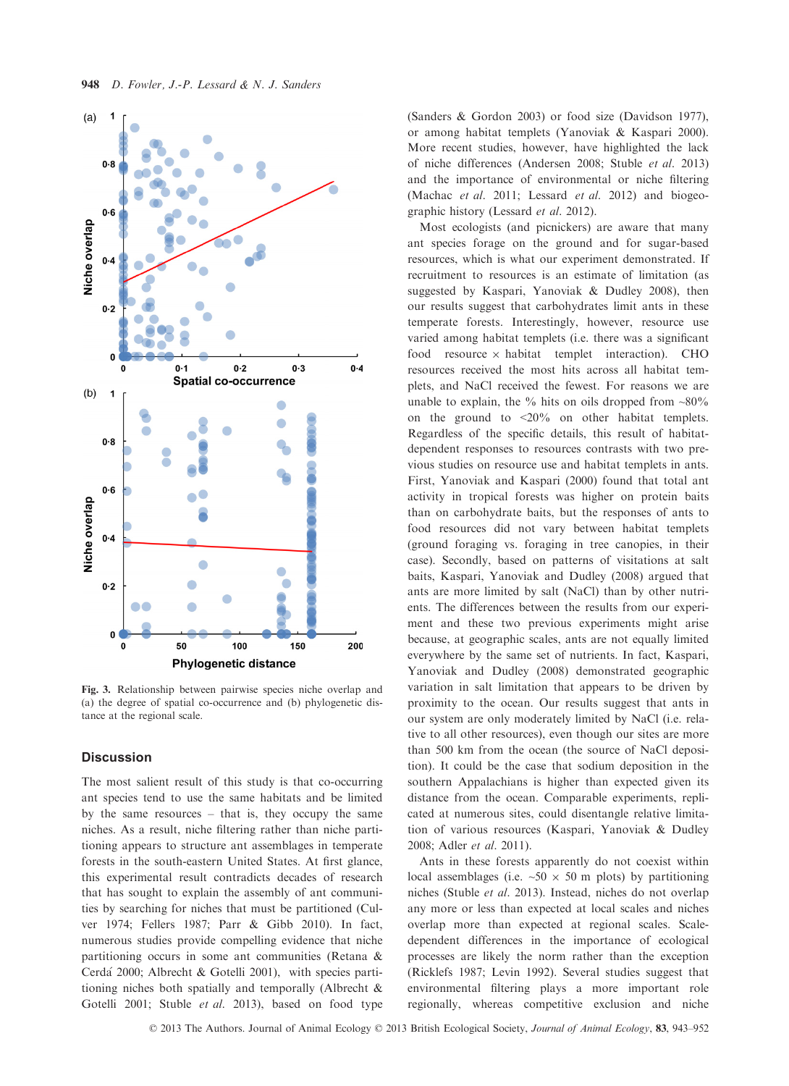

Fig. 3. Relationship between pairwise species niche overlap and (a) the degree of spatial co-occurrence and (b) phylogenetic distance at the regional scale.

## **Discussion**

The most salient result of this study is that co-occurring ant species tend to use the same habitats and be limited by the same resources – that is, they occupy the same niches. As a result, niche filtering rather than niche partitioning appears to structure ant assemblages in temperate forests in the south-eastern United States. At first glance, this experimental result contradicts decades of research that has sought to explain the assembly of ant communities by searching for niches that must be partitioned (Culver 1974; Fellers 1987; Parr & Gibb 2010). In fact, numerous studies provide compelling evidence that niche partitioning occurs in some ant communities (Retana & Cerdá 2000; Albrecht & Gotelli 2001), with species partitioning niches both spatially and temporally (Albrecht & Gotelli 2001; Stuble et al. 2013), based on food type

(Sanders & Gordon 2003) or food size (Davidson 1977), or among habitat templets (Yanoviak & Kaspari 2000). More recent studies, however, have highlighted the lack of niche differences (Andersen 2008; Stuble et al. 2013) and the importance of environmental or niche filtering (Machac et al. 2011; Lessard et al. 2012) and biogeographic history (Lessard et al. 2012).

Most ecologists (and picnickers) are aware that many ant species forage on the ground and for sugar-based resources, which is what our experiment demonstrated. If recruitment to resources is an estimate of limitation (as suggested by Kaspari, Yanoviak & Dudley 2008), then our results suggest that carbohydrates limit ants in these temperate forests. Interestingly, however, resource use varied among habitat templets (i.e. there was a significant food resource  $\times$  habitat templet interaction). CHO resources received the most hits across all habitat templets, and NaCl received the fewest. For reasons we are unable to explain, the  $\%$  hits on oils dropped from  $\sim 80\%$ on the ground to <20% on other habitat templets. Regardless of the specific details, this result of habitatdependent responses to resources contrasts with two previous studies on resource use and habitat templets in ants. First, Yanoviak and Kaspari (2000) found that total ant activity in tropical forests was higher on protein baits than on carbohydrate baits, but the responses of ants to food resources did not vary between habitat templets (ground foraging vs. foraging in tree canopies, in their case). Secondly, based on patterns of visitations at salt baits, Kaspari, Yanoviak and Dudley (2008) argued that ants are more limited by salt (NaCl) than by other nutrients. The differences between the results from our experiment and these two previous experiments might arise because, at geographic scales, ants are not equally limited everywhere by the same set of nutrients. In fact, Kaspari, Yanoviak and Dudley (2008) demonstrated geographic variation in salt limitation that appears to be driven by proximity to the ocean. Our results suggest that ants in our system are only moderately limited by NaCl (i.e. relative to all other resources), even though our sites are more than 500 km from the ocean (the source of NaCl deposition). It could be the case that sodium deposition in the southern Appalachians is higher than expected given its distance from the ocean. Comparable experiments, replicated at numerous sites, could disentangle relative limitation of various resources (Kaspari, Yanoviak & Dudley 2008; Adler et al. 2011).

Ants in these forests apparently do not coexist within local assemblages (i.e.  $\sim 50 \times 50$  m plots) by partitioning niches (Stuble et al. 2013). Instead, niches do not overlap any more or less than expected at local scales and niches overlap more than expected at regional scales. Scaledependent differences in the importance of ecological processes are likely the norm rather than the exception (Ricklefs 1987; Levin 1992). Several studies suggest that environmental filtering plays a more important role regionally, whereas competitive exclusion and niche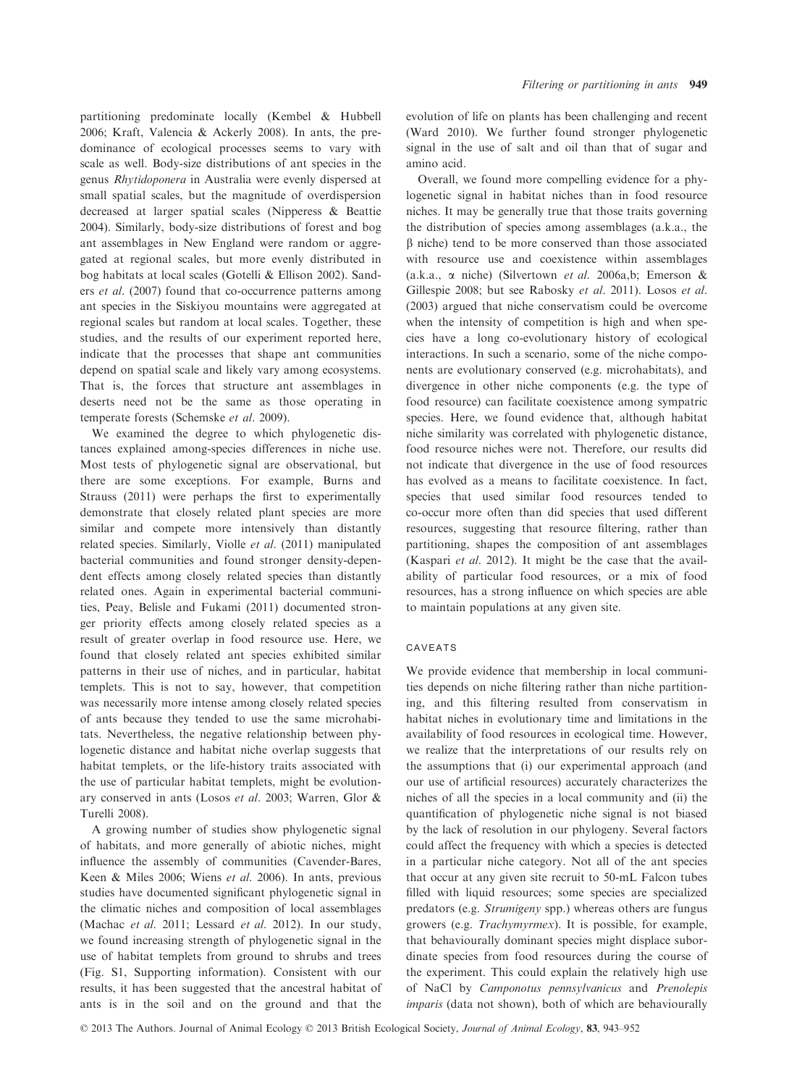partitioning predominate locally (Kembel & Hubbell 2006; Kraft, Valencia & Ackerly 2008). In ants, the predominance of ecological processes seems to vary with scale as well. Body-size distributions of ant species in the genus Rhytidoponera in Australia were evenly dispersed at small spatial scales, but the magnitude of overdispersion decreased at larger spatial scales (Nipperess & Beattie 2004). Similarly, body-size distributions of forest and bog ant assemblages in New England were random or aggregated at regional scales, but more evenly distributed in bog habitats at local scales (Gotelli & Ellison 2002). Sanders et al. (2007) found that co-occurrence patterns among ant species in the Siskiyou mountains were aggregated at regional scales but random at local scales. Together, these studies, and the results of our experiment reported here, indicate that the processes that shape ant communities depend on spatial scale and likely vary among ecosystems. That is, the forces that structure ant assemblages in deserts need not be the same as those operating in temperate forests (Schemske et al. 2009).

We examined the degree to which phylogenetic distances explained among-species differences in niche use. Most tests of phylogenetic signal are observational, but there are some exceptions. For example, Burns and Strauss (2011) were perhaps the first to experimentally demonstrate that closely related plant species are more similar and compete more intensively than distantly related species. Similarly, Violle et al. (2011) manipulated bacterial communities and found stronger density-dependent effects among closely related species than distantly related ones. Again in experimental bacterial communities, Peay, Belisle and Fukami (2011) documented stronger priority effects among closely related species as a result of greater overlap in food resource use. Here, we found that closely related ant species exhibited similar patterns in their use of niches, and in particular, habitat templets. This is not to say, however, that competition was necessarily more intense among closely related species of ants because they tended to use the same microhabitats. Nevertheless, the negative relationship between phylogenetic distance and habitat niche overlap suggests that habitat templets, or the life-history traits associated with the use of particular habitat templets, might be evolutionary conserved in ants (Losos et al. 2003; Warren, Glor & Turelli 2008).

A growing number of studies show phylogenetic signal of habitats, and more generally of abiotic niches, might influence the assembly of communities (Cavender-Bares, Keen & Miles 2006; Wiens et al. 2006). In ants, previous studies have documented significant phylogenetic signal in the climatic niches and composition of local assemblages (Machac et al. 2011; Lessard et al. 2012). In our study, we found increasing strength of phylogenetic signal in the use of habitat templets from ground to shrubs and trees (Fig. S1, Supporting information). Consistent with our results, it has been suggested that the ancestral habitat of ants is in the soil and on the ground and that the

evolution of life on plants has been challenging and recent (Ward 2010). We further found stronger phylogenetic signal in the use of salt and oil than that of sugar and amino acid.

Overall, we found more compelling evidence for a phylogenetic signal in habitat niches than in food resource niches. It may be generally true that those traits governing the distribution of species among assemblages (a.k.a., the  $\beta$  niche) tend to be more conserved than those associated with resource use and coexistence within assemblages (a.k.a.,  $\alpha$  niche) (Silvertown et al. 2006a,b; Emerson & Gillespie 2008; but see Rabosky et al. 2011). Losos et al. (2003) argued that niche conservatism could be overcome when the intensity of competition is high and when species have a long co-evolutionary history of ecological interactions. In such a scenario, some of the niche components are evolutionary conserved (e.g. microhabitats), and divergence in other niche components (e.g. the type of food resource) can facilitate coexistence among sympatric species. Here, we found evidence that, although habitat niche similarity was correlated with phylogenetic distance, food resource niches were not. Therefore, our results did not indicate that divergence in the use of food resources has evolved as a means to facilitate coexistence. In fact, species that used similar food resources tended to co-occur more often than did species that used different resources, suggesting that resource filtering, rather than partitioning, shapes the composition of ant assemblages (Kaspari et al. 2012). It might be the case that the availability of particular food resources, or a mix of food resources, has a strong influence on which species are able to maintain populations at any given site.

#### CAVEATS

We provide evidence that membership in local communities depends on niche filtering rather than niche partitioning, and this filtering resulted from conservatism in habitat niches in evolutionary time and limitations in the availability of food resources in ecological time. However, we realize that the interpretations of our results rely on the assumptions that (i) our experimental approach (and our use of artificial resources) accurately characterizes the niches of all the species in a local community and (ii) the quantification of phylogenetic niche signal is not biased by the lack of resolution in our phylogeny. Several factors could affect the frequency with which a species is detected in a particular niche category. Not all of the ant species that occur at any given site recruit to 50-mL Falcon tubes filled with liquid resources; some species are specialized predators (e.g. Strumigeny spp.) whereas others are fungus growers (e.g. Trachymyrmex). It is possible, for example, that behaviourally dominant species might displace subordinate species from food resources during the course of the experiment. This could explain the relatively high use of NaCl by Camponotus pennsylvanicus and Prenolepis imparis (data not shown), both of which are behaviourally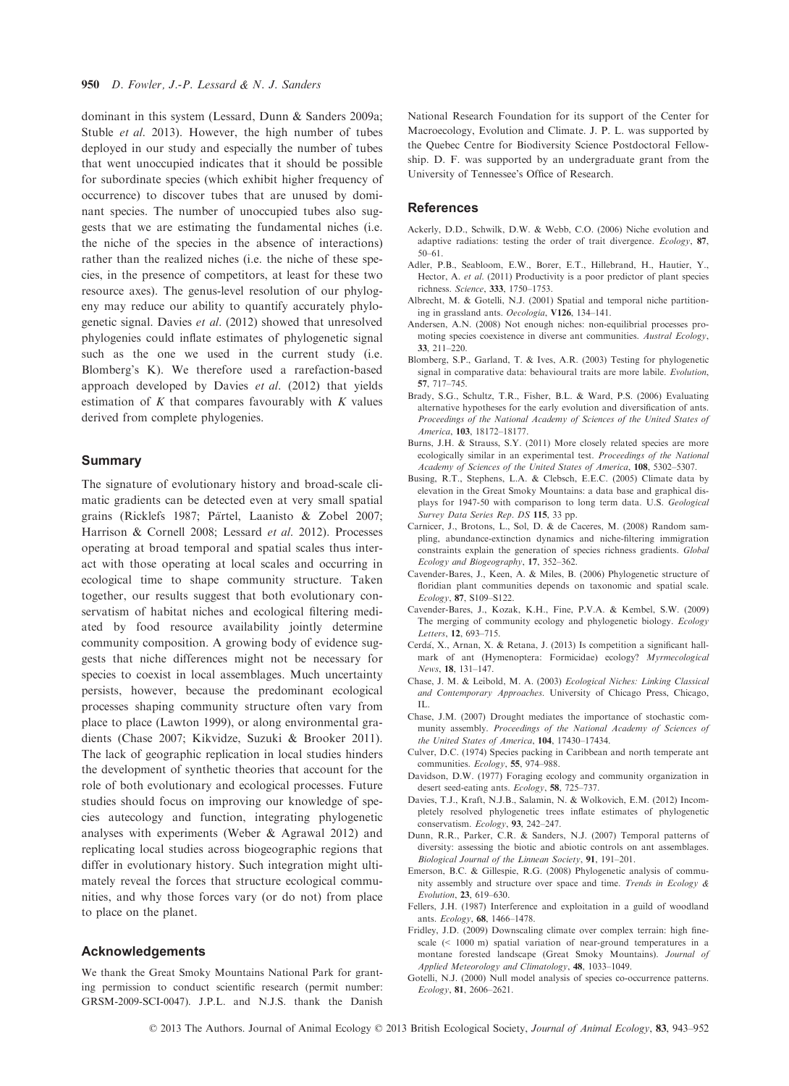dominant in this system (Lessard, Dunn & Sanders 2009a; Stuble et al. 2013). However, the high number of tubes deployed in our study and especially the number of tubes that went unoccupied indicates that it should be possible for subordinate species (which exhibit higher frequency of occurrence) to discover tubes that are unused by dominant species. The number of unoccupied tubes also suggests that we are estimating the fundamental niches (i.e. the niche of the species in the absence of interactions) rather than the realized niches (i.e. the niche of these species, in the presence of competitors, at least for these two resource axes). The genus-level resolution of our phylogeny may reduce our ability to quantify accurately phylogenetic signal. Davies et al. (2012) showed that unresolved phylogenies could inflate estimates of phylogenetic signal such as the one we used in the current study (i.e. Blomberg's K). We therefore used a rarefaction-based approach developed by Davies et al. (2012) that yields estimation of  $K$  that compares favourably with  $K$  values derived from complete phylogenies.

### Summary

The signature of evolutionary history and broad-scale climatic gradients can be detected even at very small spatial grains (Ricklefs 1987; Pärtel, Laanisto & Zobel 2007; Harrison & Cornell 2008; Lessard et al. 2012). Processes operating at broad temporal and spatial scales thus interact with those operating at local scales and occurring in ecological time to shape community structure. Taken together, our results suggest that both evolutionary conservatism of habitat niches and ecological filtering mediated by food resource availability jointly determine community composition. A growing body of evidence suggests that niche differences might not be necessary for species to coexist in local assemblages. Much uncertainty persists, however, because the predominant ecological processes shaping community structure often vary from place to place (Lawton 1999), or along environmental gradients (Chase 2007; Kikvidze, Suzuki & Brooker 2011). The lack of geographic replication in local studies hinders the development of synthetic theories that account for the role of both evolutionary and ecological processes. Future studies should focus on improving our knowledge of species autecology and function, integrating phylogenetic analyses with experiments (Weber & Agrawal 2012) and replicating local studies across biogeographic regions that differ in evolutionary history. Such integration might ultimately reveal the forces that structure ecological communities, and why those forces vary (or do not) from place to place on the planet.

#### Acknowledgements

We thank the Great Smoky Mountains National Park for granting permission to conduct scientific research (permit number: GRSM-2009-SCI-0047). J.P.L. and N.J.S. thank the Danish National Research Foundation for its support of the Center for Macroecology, Evolution and Climate. J. P. L. was supported by the Quebec Centre for Biodiversity Science Postdoctoral Fellowship. D. F. was supported by an undergraduate grant from the University of Tennessee's Office of Research.

#### References

- Ackerly, D.D., Schwilk, D.W. & Webb, C.O. (2006) Niche evolution and adaptive radiations: testing the order of trait divergence. Ecology, 87, 50–61.
- Adler, P.B., Seabloom, E.W., Borer, E.T., Hillebrand, H., Hautier, Y., Hector, A. et al. (2011) Productivity is a poor predictor of plant species richness. Science, 333, 1750–1753.
- Albrecht, M. & Gotelli, N.J. (2001) Spatial and temporal niche partitioning in grassland ants. Oecologia, V126, 134–141.
- Andersen, A.N. (2008) Not enough niches: non-equilibrial processes promoting species coexistence in diverse ant communities. Austral Ecology, 33, 211–220.
- Blomberg, S.P., Garland, T. & Ives, A.R. (2003) Testing for phylogenetic signal in comparative data: behavioural traits are more labile. Evolution,
- 57, 717–745. Brady, S.G., Schultz, T.R., Fisher, B.L. & Ward, P.S. (2006) Evaluating alternative hypotheses for the early evolution and diversification of ants. Proceedings of the National Academy of Sciences of the United States of America, 103, 18172–18177.
- Burns, J.H. & Strauss, S.Y. (2011) More closely related species are more ecologically similar in an experimental test. Proceedings of the National Academy of Sciences of the United States of America, 108, 5302–5307.
- Busing, R.T., Stephens, L.A. & Clebsch, E.E.C. (2005) Climate data by elevation in the Great Smoky Mountains: a data base and graphical displays for 1947-50 with comparison to long term data. U.S. Geological Survey Data Series Rep. DS 115, 33 pp.
- Carnicer, J., Brotons, L., Sol, D. & de Caceres, M. (2008) Random sampling, abundance-extinction dynamics and niche-filtering immigration constraints explain the generation of species richness gradients. Global Ecology and Biogeography, 17, 352–362.
- Cavender-Bares, J., Keen, A. & Miles, B. (2006) Phylogenetic structure of floridian plant communities depends on taxonomic and spatial scale.
- Ecology, 87, S109–S122. Cavender-Bares, J., Kozak, K.H., Fine, P.V.A. & Kembel, S.W. (2009) The merging of community ecology and phylogenetic biology. Ecology Letters, 12, 693–715.
- Cerdá, X., Arnan, X. & Retana, J. (2013) Is competition a significant hallmark of ant (Hymenoptera: Formicidae) ecology? Myrmecological News, <sup>18</sup>, 131–147.
- Chase, J. M. & Leibold, M. A. (2003) Ecological Niches: Linking Classical and Contemporary Approaches. University of Chicago Press, Chicago, IL.
- Chase, J.M. (2007) Drought mediates the importance of stochastic community assembly. Proceedings of the National Academy of Sciences of the United States of America, 104, 17430–17434.
- Culver, D.C. (1974) Species packing in Caribbean and north temperate ant communities. Ecology, 55, 974–988.
- Davidson, D.W. (1977) Foraging ecology and community organization in desert seed-eating ants. Ecology, 58, 725–737.
- Davies, T.J., Kraft, N.J.B., Salamin, N. & Wolkovich, E.M. (2012) Incompletely resolved phylogenetic trees inflate estimates of phylogenetic conservatism. Ecology, 93, 242–247.
- Dunn, R.R., Parker, C.R. & Sanders, N.J. (2007) Temporal patterns of diversity: assessing the biotic and abiotic controls on ant assemblages. Biological Journal of the Linnean Society, 91, 191–201.
- Emerson, B.C. & Gillespie, R.G. (2008) Phylogenetic analysis of community assembly and structure over space and time. Trends in Ecology & Evolution, 23, 619–630.
- Fellers, J.H. (1987) Interference and exploitation in a guild of woodland ants. Ecology, 68, 1466–1478.
- Fridley, J.D. (2009) Downscaling climate over complex terrain: high finescale (< 1000 m) spatial variation of near-ground temperatures in a montane forested landscape (Great Smoky Mountains). Journal of Applied Meteorology and Climatology, 48, 1033–1049.
- Gotelli, N.J. (2000) Null model analysis of species co-occurrence patterns. Ecology, 81, 2606–2621.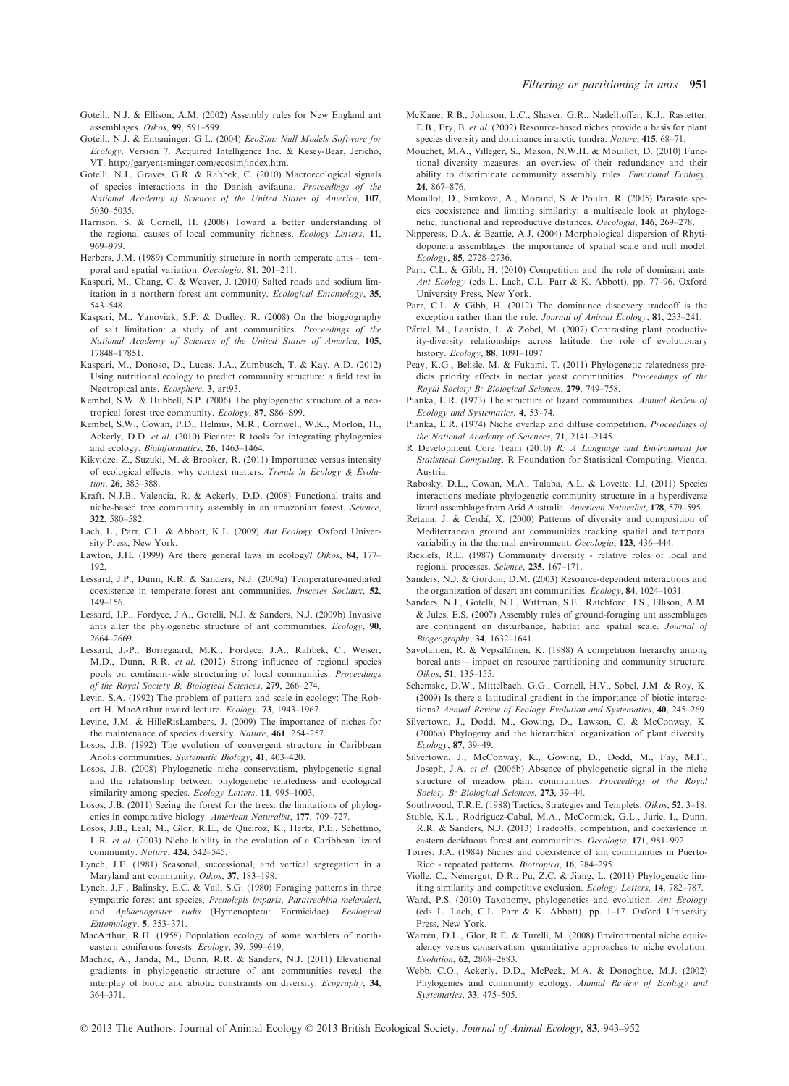- Gotelli, N.J. & Ellison, A.M. (2002) Assembly rules for New England ant assemblages. *Oikos*. **99**. 591–599.
- assemblages. Oikos, 99, 591–599.<br>Gotelli, N.J. & Entsminger, G.L. (2004) EcoSim: Null Models Software for Ecology. Version 7. Acquired Intelligence Inc. & Kesey-Bear, Jericho, VT. http://garyentsminger.com/ecosim/index.htm.
- Gotelli, N.J., Graves, G.R. & Rahbek, C. (2010) Macroecological signals of species interactions in the Danish avifauna. Proceedings of the National Academy of Sciences of the United States of America, 107, 5030–5035.
- Harrison, S. & Cornell, H. (2008) Toward a better understanding of the regional causes of local community richness. Ecology Letters, 11, 969–979.
- Herbers, J.M. (1989) Communitiy structure in north temperate ants temporal and spatial variation. Oecologia, 81, 201–211.
- Kaspari, M., Chang, C. & Weaver, J. (2010) Salted roads and sodium limitation in a northern forest ant community. Ecological Entomology, 35, 543–548.
- Kaspari, M., Yanoviak, S.P. & Dudley, R. (2008) On the biogeography of salt limitation: a study of ant communities. Proceedings of the National Academy of Sciences of the United States of America, 105, 17848–17851.
- Kaspari, M., Donoso, D., Lucas, J.A., Zumbusch, T. & Kay, A.D. (2012) Using nutritional ecology to predict community structure: a field test in
- Neotropical ants. *Ecosphere*, 3, art93.<br>Kembel, S.W. & Hubbell, S.P. (2006) The phylogenetic structure of a neotropical forest tree community. Ecology, 87, S86–S99.
- Kembel, S.W., Cowan, P.D., Helmus, M.R., Cornwell, W.K., Morlon, H., Ackerly, D.D. et al. (2010) Picante: R tools for integrating phylogenies and ecology. Bioinformatics, 26, 1463–1464.
- Kikvidze, Z., Suzuki, M. & Brooker, R. (2011) Importance versus intensity of ecological effects: why context matters. Trends in Ecology & Evolu-
- tion, 26, 383–388. Kraft, N.J.B., Valencia, R. & Ackerly, D.D. (2008) Functional traits and niche-based tree community assembly in an amazonian forest. Science, <sup>322</sup>, 580–582. Lach, L., Parr, C.L. & Abbott, K.L. (2009) Ant Ecology. Oxford Univer-
- sity Press, New York.
- Lawton, J.H. (1999) Are there general laws in ecology? Oikos, 84, 177– 192.
- Lessard, J.P., Dunn, R.R. & Sanders, N.J. (2009a) Temperature-mediated coexistence in temperate forest ant communities. Insectes Sociaux, 52, 149–156.
- Lessard, J.P., Fordyce, J.A., Gotelli, N.J. & Sanders, N.J. (2009b) Invasive ants alter the phylogenetic structure of ant communities. Ecology, 90, 2664–2669.
- Lessard, J.-P., Borregaard, M.K., Fordyce, J.A., Rahbek, C., Weiser, M.D., Dunn, R.R. et al. (2012) Strong influence of regional species pools on continent-wide structuring of local communities. Proceedings of the Royal Society B: Biological Sciences, 279, 266–274.
- Levin, S.A. (1992) The problem of pattern and scale in ecology: The Robert H. MacArthur award lecture. Ecology, 73, 1943–1967.
- Levine, J.M. & HilleRisLambers, J. (2009) The importance of niches for the maintenance of species diversity. Nature, 461, 254–257.
- Losos, J.B. (1992) The evolution of convergent structure in Caribbean Anolis communities. Systematic Biology, 41, 403–420.
- Losos, J.B. (2008) Phylogenetic niche conservatism, phylogenetic signal and the relationship between phylogenetic relatedness and ecological similarity among species. Ecology Letters, 11, 995-1003.
- Losos, J.B. (2011) Seeing the forest for the trees: the limitations of phylogenies in comparative biology. American Naturalist, 177, 709–727.
- Losos, J.B., Leal, M., Glor, R.E., de Queiroz, K., Hertz, P.E., Schettino, L.R. et al. (2003) Niche lability in the evolution of a Caribbean lizard community. Nature, 424, 542–545.
- Lynch, J.F. (1981) Seasonal, successional, and vertical segregation in a Maryland ant community. Oikos, <sup>37</sup>, 183–198.
- Lynch, J.F., Balinsky, E.C. & Vail, S.G. (1980) Foraging patterns in three sympatric forest ant species, Prenolepis imparis, Paratrechina melanderi, and Aphaenogaster rudis (Hymenoptera: Formicidae). Ecological Entomology, 5, 353–371.
- MacArthur, R.H. (1958) Population ecology of some warblers of northeastern coniferous forests. Ecology, 39, 599–619.
- Machac, A., Janda, M., Dunn, R.R. & Sanders, N.J. (2011) Elevational gradients in phylogenetic structure of ant communities reveal the interplay of biotic and abiotic constraints on diversity. Ecography, 34, 364–371.
- McKane, R.B., Johnson, L.C., Shaver, G.R., Nadelhoffer, K.J., Rastetter, E.B., Fry, B. et al. (2002) Resource-based niches provide a basis for plant
- species diversity and dominance in arctic tundra. *Nature*, **415**, 68–71.<br>Mouchet, M.A., Villeger, S., Mason, N.W.H. & Mouillot, D. (2010) Functional diversity measures: an overview of their redundancy and their ability to discriminate community assembly rules. Functional Ecology, 24, 867-876.
- 24, 867–876. Mouillot, D., Simkova, A., Morand, S. & Poulin, R. (2005) Parasite species coexistence and limiting similarity: a multiscale look at phylogenetic, functional and reproductive distances. Oecologia, 146, 269–278.
- Nipperess, D.A. & Beattie, A.J. (2004) Morphological dispersion of Rhytidoponera assemblages: the importance of spatial scale and null model.
- Ecology, 85, 2728–2736. Parr, C.L. & Gibb, H. (2010) Competition and the role of dominant ants. Ant Ecology (eds L. Lach, C.L. Parr & K. Abbott), pp. 77–96. Oxford University Press, New York.
- Parr, C.L. & Gibb, H. (2012) The dominance discovery tradeoff is the exception rather than the rule. Journal of Animal Ecology, 81, 233–241.
- Pärtel, M., Laanisto, L. & Zobel, M. (2007) Contrasting plant productivity-diversity relationships across latitude: the role of evolutionary history. Ecology, 88, 1091–1097.
- Peay, K.G., Belisle, M. & Fukami, T. (2011) Phylogenetic relatedness predicts priority effects in nectar yeast communities. Proceedings of the
- Royal Society B: Biological Sciences, 279, 749–758.<br>Pianka, E.R. (1973) The structure of lizard communities. Annual Review of
- Ecology and Systematics, 4, 53–74. Pianka, E.R. (1974) Niche overlap and diffuse competition. Proceedings of the National Academy of Sciences, 71, 2141–2145.
- R Development Core Team (2010) R: A Language and Environment for Statistical Computing. R Foundation for Statistical Computing, Vienna, Austria.
- Rabosky, D.L., Cowan, M.A., Talaba, A.L. & Lovette, I.J. (2011) Species interactions mediate phylogenetic community structure in a hyperdiverse lizard assemblage from Arid Australia. American Naturalist, 178, 579–595.
- Retana, J. & Cerdá, X. (2000) Patterns of diversity and composition of Mediterranean ground ant communities tracking spatial and temporal variability in the thermal environment. Oecologia, 123, 436–444.
- Ricklefs, R.E. (1987) Community diversity relative roles of local and regional processes. Science, 235, 167–171.
- Sanders, N.J. & Gordon, D.M. (2003) Resource-dependent interactions and the organization of desert ant communities. Ecology, 84, 1024–1031.
- Sanders, N.J., Gotelli, N.J., Wittman, S.E., Ratchford, J.S., Ellison, A.M. & Jules, E.S. (2007) Assembly rules of ground-foraging ant assemblages are contingent on disturbance, habitat and spatial scale. Journal of Biogeography, 34, 1632–1641.
- Savolainen, R. & Vepsäläinen, K. (1988) A competition hierarchy among boreal ants – impact on resource partitioning and community structure. Oikos, 51, 135–155.
- Schemske, D.W., Mittelbach, G.G., Cornell, H.V., Sobel, J.M. & Roy, K. (2009) Is there a latitudinal gradient in the importance of biotic interactions? Annual Review of Ecology Evolution and Systematics, 40, 245-269.
- Silvertown, J., Dodd, M., Gowing, D., Lawson, C. & McConway, K. (2006a) Phylogeny and the hierarchical organization of plant diversity. Ecology, 87, 39–49. Silvertown, J., McConway, K., Gowing, D., Dodd, M., Fay, M.F.,
- Joseph, J.A. et al. (2006b) Absence of phylogenetic signal in the niche structure of meadow plant communities. Proceedings of the Royal Society B: Biological Sciences, 273, 39–44.
- Southwood, T.R.E. (1988) Tactics, Strategies and Templets. Oikos, 52, 3–18. Stuble, K.L., Rodriguez-Cabal, M.A., McCormick, G.L., Juric, I., Dunn,
- R.R. & Sanders, N.J. (2013) Tradeoffs, competition, and coexistence in eastern deciduous forest ant communities. Oecologia, 171, 981–992.
- Torres, J.A. (1984) Niches and coexistence of ant communities in Puerto-Rico - repeated patterns. Biotropica, 16, 284–295.
- Violle, C., Nemergut, D.R., Pu, Z.C. & Jiang, L. (2011) Phylogenetic limiting similarity and competitive exclusion. Ecology Letters, 14, 782–787.
- Ward, P.S. (2010) Taxonomy, phylogenetics and evolution. Ant Ecology (eds L. Lach, C.L. Parr & K. Abbott), pp. 1–17. Oxford University Press, New York.
- Warren, D.L., Glor, R.E. & Turelli, M. (2008) Environmental niche equivalency versus conservatism: quantitative approaches to niche evolution. Evolution, 62, 2868–2883.
- Webb, C.O., Ackerly, D.D., McPeek, M.A. & Donoghue, M.J. (2002) Phylogenies and community ecology. Annual Review of Ecology and Systematics, 33, 475–505.